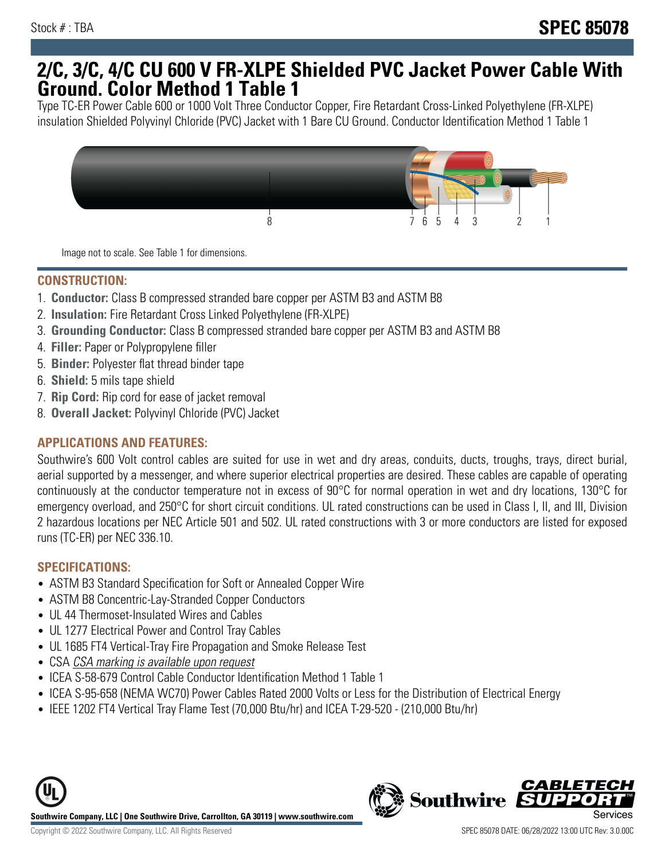## **2/C, 3/C, 4/C CU 600 V FR-XLPE Shielded PVC Jacket Power Cable With Ground. Color Method 1 Table 1**

Type TC-ER Power Cable 600 or 1000 Volt Three Conductor Copper, Fire Retardant Cross-Linked Polyethylene (FR-XLPE) insulation Shielded Polyvinyl Chloride (PVC) Jacket with 1 Bare CU Ground. Conductor Identification Method 1 Table 1



Image not to scale. See Table 1 for dimensions.

#### **CONSTRUCTION:**

- 1. **Conductor:** Class B compressed stranded bare copper per ASTM B3 and ASTM B8
- 2. **Insulation:** Fire Retardant Cross Linked Polyethylene (FR-XLPE)
- 3. **Grounding Conductor:** Class B compressed stranded bare copper per ASTM B3 and ASTM B8
- 4. **Filler:** Paper or Polypropylene filler
- 5. **Binder:** Polyester flat thread binder tape
- 6. **Shield:** 5 mils tape shield
- 7. **Rip Cord:** Rip cord for ease of jacket removal
- 8. **Overall Jacket:** Polyvinyl Chloride (PVC) Jacket

### **APPLICATIONS AND FEATURES:**

Southwire's 600 Volt control cables are suited for use in wet and dry areas, conduits, ducts, troughs, trays, direct burial, aerial supported by a messenger, and where superior electrical properties are desired. These cables are capable of operating continuously at the conductor temperature not in excess of 90°C for normal operation in wet and dry locations, 130°C for emergency overload, and 250°C for short circuit conditions. UL rated constructions can be used in Class I, II, and III, Division 2 hazardous locations per NEC Article 501 and 502. UL rated constructions with 3 or more conductors are listed for exposed runs (TC-ER) per NEC 336.10.

#### **SPECIFICATIONS:**

- ASTM B3 Standard Specification for Soft or Annealed Copper Wire
- ASTM B8 Concentric-Lay-Stranded Copper Conductors
- UL 44 Thermoset-Insulated Wires and Cables
- UL 1277 Electrical Power and Control Tray Cables
- UL 1685 FT4 Vertical-Tray Fire Propagation and Smoke Release Test
- CSA CSA marking is available upon request
- ICEA S-58-679 Control Cable Conductor Identification Method 1 Table 1
- ICEA S-95-658 (NEMA WC70) Power Cables Rated 2000 Volts or Less for the Distribution of Electrical Energy
- IEEE 1202 FT4 Vertical Tray Flame Test (70,000 Btu/hr) and ICEA T-29-520 (210,000 Btu/hr)



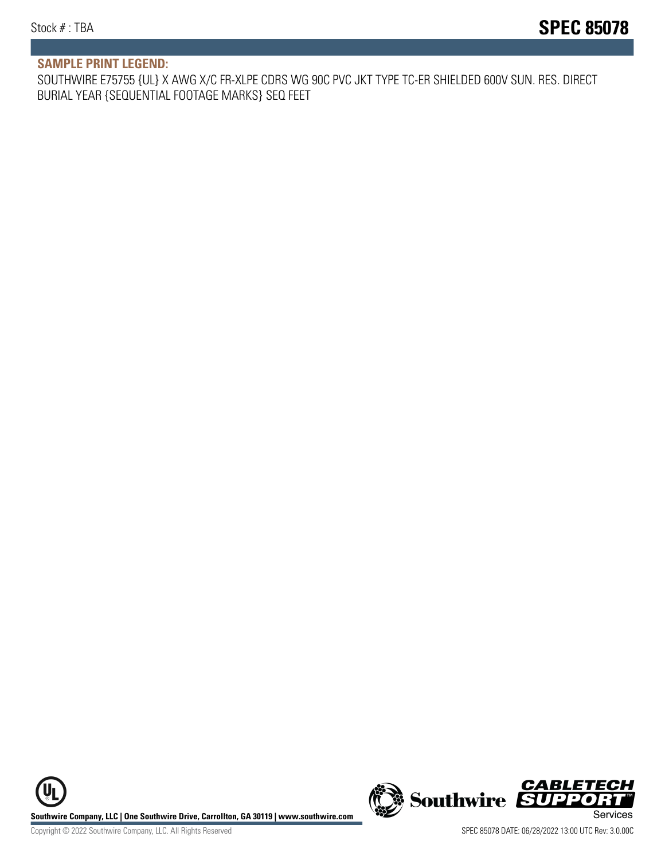#### **SAMPLE PRINT LEGEND:**

SOUTHWIRE E75755 {UL} X AWG X/C FR-XLPE CDRS WG 90C PVC JKT TYPE TC-ER SHIELDED 600V SUN. RES. DIRECT BURIAL YEAR {SEQUENTIAL FOOTAGE MARKS} SEQ FEET

**U Southwire Company, LLC | One Southwire Drive, Carrollton, GA 30119 | www.southwire.com (New Southwire SUPPORTI**